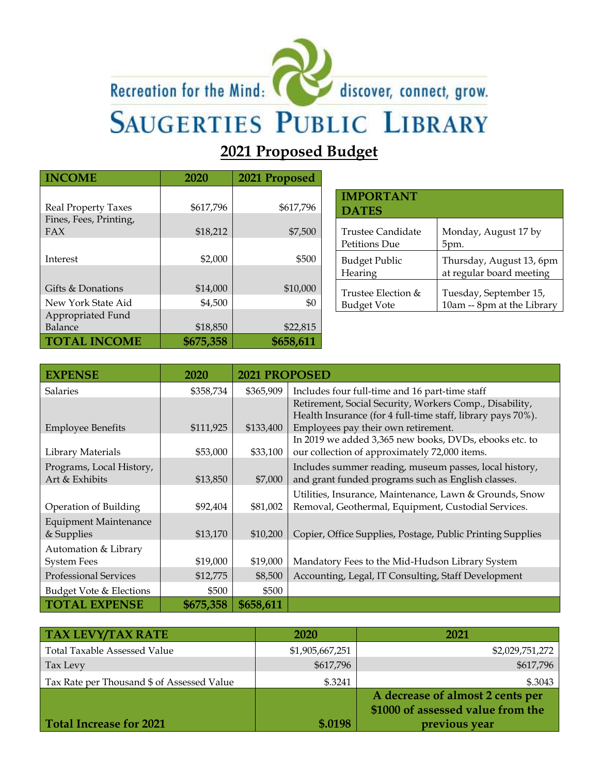# Recreation for the Mind: discover, connect, grow.



## **SAUGERTIES PUBLIC LIBRARY**

### **2021 Proposed Budget**

| <b>INCOME</b>          | 2020      | 2021 Proposed |
|------------------------|-----------|---------------|
|                        |           |               |
| Real Property Taxes    | \$617,796 | \$617,796     |
| Fines, Fees, Printing, |           |               |
| FAX                    | \$18,212  | \$7,500       |
|                        |           |               |
| Interest               | \$2,000   | \$500         |
|                        |           |               |
| Gifts & Donations      | \$14,000  | \$10,000      |
| New York State Aid     | \$4,500   | \$0           |
| Appropriated Fund      |           |               |
| Balance                | \$18,850  | \$22,815      |
| <b>TOTAL INCOME</b>    | \$675,358 | \$658,611     |

| <b>IMPORTANT</b><br><b>DATES</b> |                            |
|----------------------------------|----------------------------|
| Trustee Candidate                | Monday, August 17 by       |
| Petitions Due                    | 5pm.                       |
| Budget Public                    | Thursday, August 13, 6pm   |
| Hearing                          | at regular board meeting   |
| Trustee Election &               | Tuesday, September 15,     |
| Budget Vote                      | 10am -- 8pm at the Library |

| <b>EXPENSE</b>               | 2020      | <b>2021 PROPOSED</b> |                                                                                                         |
|------------------------------|-----------|----------------------|---------------------------------------------------------------------------------------------------------|
| <b>Salaries</b>              | \$358,734 | \$365,909            | Includes four full-time and 16 part-time staff                                                          |
|                              |           |                      | Retirement, Social Security, Workers Comp., Disability,                                                 |
|                              |           |                      | Health Insurance (for 4 full-time staff, library pays 70%).                                             |
| <b>Employee Benefits</b>     | \$111,925 | \$133,400            | Employees pay their own retirement.                                                                     |
| Library Materials            | \$53,000  | \$33,100             | In 2019 we added 3,365 new books, DVDs, ebooks etc. to<br>our collection of approximately 72,000 items. |
|                              |           |                      |                                                                                                         |
| Programs, Local History,     |           |                      | Includes summer reading, museum passes, local history,                                                  |
| Art & Exhibits               | \$13,850  | \$7,000              | and grant funded programs such as English classes.                                                      |
|                              |           |                      | Utilities, Insurance, Maintenance, Lawn & Grounds, Snow                                                 |
| Operation of Building        | \$92,404  | \$81,002             | Removal, Geothermal, Equipment, Custodial Services.                                                     |
| <b>Equipment Maintenance</b> |           |                      |                                                                                                         |
| & Supplies                   | \$13,170  | \$10,200             | Copier, Office Supplies, Postage, Public Printing Supplies                                              |
| Automation & Library         |           |                      |                                                                                                         |
| <b>System Fees</b>           | \$19,000  | \$19,000             | Mandatory Fees to the Mid-Hudson Library System                                                         |
| <b>Professional Services</b> | \$12,775  | \$8,500              | Accounting, Legal, IT Consulting, Staff Development                                                     |
| Budget Vote & Elections      | \$500     | \$500                |                                                                                                         |
| <b>TOTAL EXPENSE</b>         | \$675,358 | \$658,611            |                                                                                                         |

| <b>TAX LEVY/TAX RATE</b>                   | <b>2020</b>     | 2021                                                                                   |
|--------------------------------------------|-----------------|----------------------------------------------------------------------------------------|
| <b>Total Taxable Assessed Value</b>        | \$1,905,667,251 | \$2,029,751,272                                                                        |
| Tax Levy                                   | \$617,796       | \$617,796                                                                              |
| Tax Rate per Thousand \$ of Assessed Value | \$.3241         | \$.3043                                                                                |
| <b>Total Increase for 2021</b>             | \$.0198         | A decrease of almost 2 cents per<br>\$1000 of assessed value from the<br>previous year |